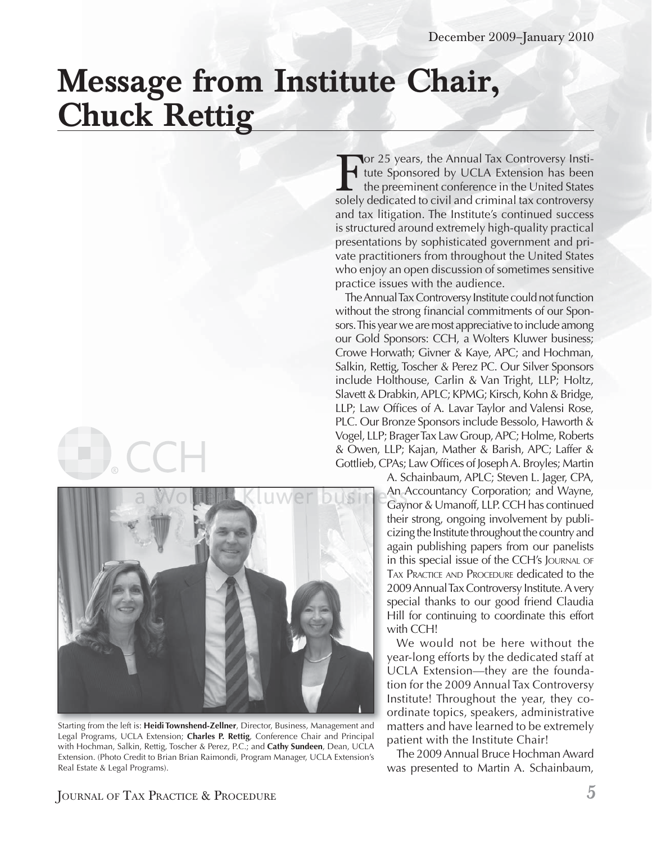## **Message from Institute Chair, Chuck Rettig**



Starting from the left is: **Heidi Townshend-Zellner**, Director, Business, Management and Legal Programs, UCLA Extension; **Charles P. Rettig**, Conference Chair and Principal with Hochman, Salkin, Rettig, Toscher & Perez, P.C.; and **Cathy Sundeen**, Dean, UCLA Extension. (Photo Credit to Brian Brian Raimondi, Program Manager, UCLA Extension's Real Estate & Legal Programs).

For 25 years, the Annual Tax Controversy Institute Sponsored by UCLA Extension has been<br>the preeminent conference in the United States<br>solely dedicated to civil and criminal tax controversy tute Sponsored by UCLA Extension has been the preeminent conference in the United States solely dedicated to civil and criminal tax controversy and tax litigation. The Institute's continued success is structured around extremely high-quality practical presentations by sophisticated government and private practitioners from throughout the United States who enjoy an open discussion of sometimes sensitive practice issues with the audience.

The Annual Tax Controversy Institute could not function without the strong financial commitments of our Sponsors. This year we are most appreciative to include among our Gold Sponsors: CCH, a Wolters Kluwer business; Crowe Horwath; Givner & Kaye, APC; and Hochman, Salkin, Rettig, Toscher & Perez PC. Our Silver Sponsors include Holthouse, Carlin & Van Tright, LLP; Holtz, Slavett & Drabkin, APLC; KPMG; Kirsch, Kohn & Bridge, LLP; Law Offices of A. Lavar Taylor and Valensi Rose, PLC. Our Bronze Sponsors include Bessolo, Haworth & Vogel, LLP; Brager Tax Law Group, APC; Holme, Roberts & Owen, LLP; Kajan, Mather & Barish, APC; Laffer & Gottlieb, CPAs; Law Offices of Joseph A. Broyles; Martin

> A. Schainbaum, APLC; Steven L. Jager, CPA, An Accountancy Corporation; and Wayne, An n A Gaynor & Umanoff, LLP. CCH has continued Ga ayntheir strong, ongoing involvement by publicizing the Institute throughout the country and again publishing papers from our panelists in this special issue of the CCH's JOURNAL OF TAX PRACTICE AND PROCEDURE dedicated to the 2009 Annual Tax Controversy Institute. A very special thanks to our good friend Claudia Hill for continuing to coordinate this effort with CCH!

> We would not be here without the year-long efforts by the dedicated staff at UCLA Extension—they are the foundation for the 2009 Annual Tax Controversy Institute! Throughout the year, they coordinate topics, speakers, administrative matters and have learned to be extremely patient with the Institute Chair!

> The 2009 Annual Bruce Hochman Award was presented to Martin A. Schainbaum,